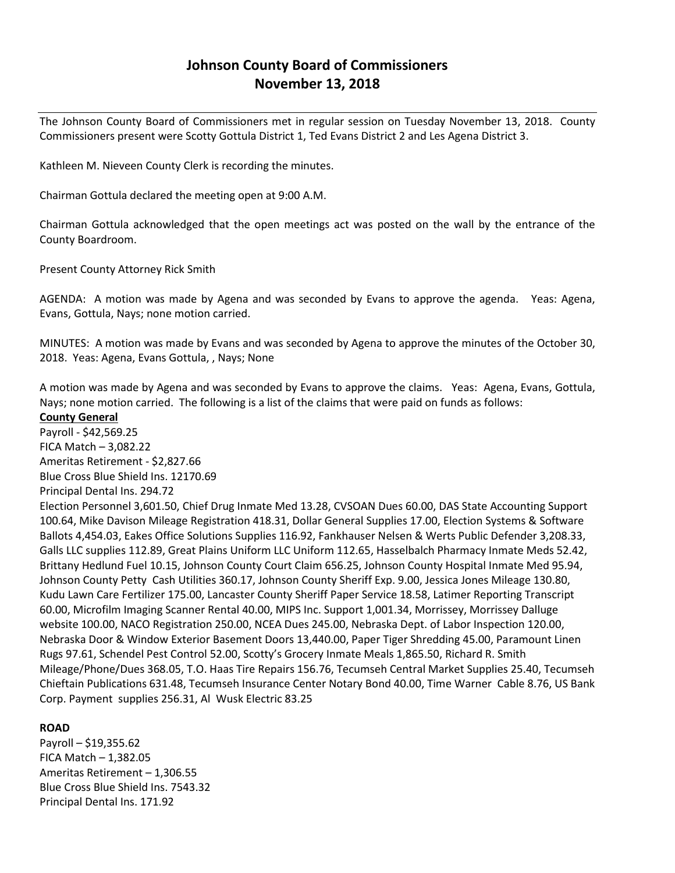# **Johnson County Board of Commissioners November 13, 2018**

The Johnson County Board of Commissioners met in regular session on Tuesday November 13, 2018. County Commissioners present were Scotty Gottula District 1, Ted Evans District 2 and Les Agena District 3.

Kathleen M. Nieveen County Clerk is recording the minutes.

Chairman Gottula declared the meeting open at 9:00 A.M.

Chairman Gottula acknowledged that the open meetings act was posted on the wall by the entrance of the County Boardroom.

Present County Attorney Rick Smith

AGENDA: A motion was made by Agena and was seconded by Evans to approve the agenda. Yeas: Agena, Evans, Gottula, Nays; none motion carried.

MINUTES: A motion was made by Evans and was seconded by Agena to approve the minutes of the October 30, 2018. Yeas: Agena, Evans Gottula, , Nays; None

A motion was made by Agena and was seconded by Evans to approve the claims. Yeas: Agena, Evans, Gottula, Nays; none motion carried. The following is a list of the claims that were paid on funds as follows:

**County General** Payroll - \$42,569.25 FICA Match – 3,082.22 Ameritas Retirement - \$2,827.66 Blue Cross Blue Shield Ins. 12170.69 Principal Dental Ins. 294.72 Election Personnel 3,601.50, Chief Drug Inmate Med 13.28, CVSOAN Dues 60.00, DAS State Accounting Support 100.64, Mike Davison Mileage Registration 418.31, Dollar General Supplies 17.00, Election Systems & Software Ballots 4,454.03, Eakes Office Solutions Supplies 116.92, Fankhauser Nelsen & Werts Public Defender 3,208.33, Galls LLC supplies 112.89, Great Plains Uniform LLC Uniform 112.65, Hasselbalch Pharmacy Inmate Meds 52.42, Brittany Hedlund Fuel 10.15, Johnson County Court Claim 656.25, Johnson County Hospital Inmate Med 95.94, Johnson County Petty Cash Utilities 360.17, Johnson County Sheriff Exp. 9.00, Jessica Jones Mileage 130.80, Kudu Lawn Care Fertilizer 175.00, Lancaster County Sheriff Paper Service 18.58, Latimer Reporting Transcript 60.00, Microfilm Imaging Scanner Rental 40.00, MIPS Inc. Support 1,001.34, Morrissey, Morrissey Dalluge website 100.00, NACO Registration 250.00, NCEA Dues 245.00, Nebraska Dept. of Labor Inspection 120.00, Nebraska Door & Window Exterior Basement Doors 13,440.00, Paper Tiger Shredding 45.00, Paramount Linen Rugs 97.61, Schendel Pest Control 52.00, Scotty's Grocery Inmate Meals 1,865.50, Richard R. Smith Mileage/Phone/Dues 368.05, T.O. Haas Tire Repairs 156.76, Tecumseh Central Market Supplies 25.40, Tecumseh Chieftain Publications 631.48, Tecumseh Insurance Center Notary Bond 40.00, Time Warner Cable 8.76, US Bank Corp. Payment supplies 256.31, Al Wusk Electric 83.25

### **ROAD**

Payroll – \$19,355.62 FICA Match – 1,382.05 Ameritas Retirement – 1,306.55 Blue Cross Blue Shield Ins. 7543.32 Principal Dental Ins. 171.92